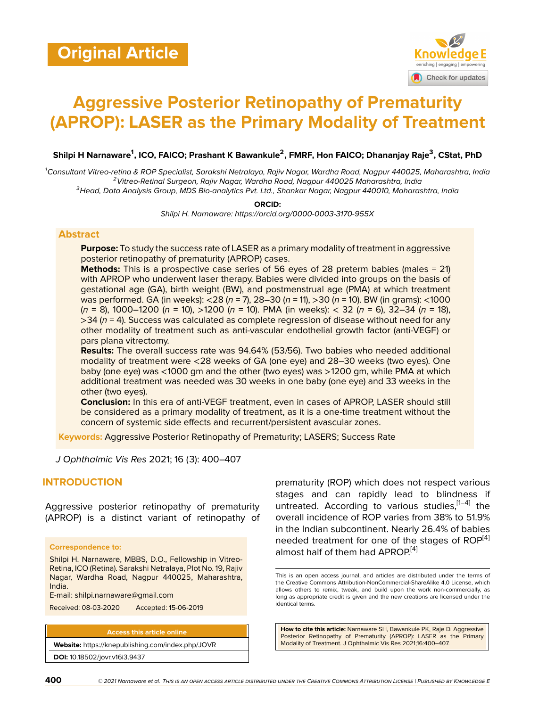

# **Aggressive Posterior Retinopathy of Prematurity (APROP): LASER as the Primary Modality of Treatment**

**Shilpi H Narnaware<sup>1</sup> , ICO, FAICO; Prashant K Bawankule<sup>2</sup> , FMRF, Hon FAICO; Dhananjay Raje<sup>3</sup> , CStat, PhD**

*<sup>1</sup>Consultant Vitreo-retina & ROP Specialist, Sarakshi Netralaya, Rajiv Nagar, Wardha Road, Nagpur 440025, Maharashtra, India <sup>2</sup>Vitreo-Retinal Surgeon, Rajiv Nagar, Wardha Road, Nagpur 440025 Maharashtra, India <sup>3</sup>Head, Data Analysis Group, MDS Bio-analytics Pvt. Ltd., Shankar Nagar, Nagpur 440010, Maharashtra, India*

> **ORCID:** *Shilpi H. Narnaware: https://orcid.org/0000-0003-3170-955X*

#### **Abstract**

**Purpose:** To study the success rate of LASER as a primary modality of treatment in aggressive posterior retinopathy of prematurity (APROP) cases.

**Methods:** This is a prospective case series of 56 eyes of 28 preterm babies (males = 21) with APROP who underwent laser therapy. Babies were divided into groups on the basis of gestational age (GA), birth weight (BW), and postmenstrual age (PMA) at which treatment was performed. GA (in weeks): <28 (*n* = 7), 28–30 (*n* = 11), >30 (*n* = 10). BW (in grams): <1000 (*n* = 8), 1000–1200 (*n* = 10), >1200 (*n* = 10). PMA (in weeks): < 32 (*n* = 6), 32–34 (*n* = 18), >34 (*n* = 4). Success was calculated as complete regression of disease without need for any other modality of treatment such as anti-vascular endothelial growth factor (anti-VEGF) or pars plana vitrectomy.

**Results:** The overall success rate was 94.64% (53/56). Two babies who needed additional modality of treatment were <28 weeks of GA (one eye) and 28–30 weeks (two eyes). One baby (one eye) was <1000 gm and the other (two eyes) was >1200 gm, while PMA at which additional treatment was needed was 30 weeks in one baby (one eye) and 33 weeks in the other (two eyes).

**Conclusion:** In this era of anti-VEGF treatment, even in cases of APROP, LASER should still be considered as a primary modality of treatment, as it is a one-time treatment without the concern of systemic side effects and recurrent/persistent avascular zones.

**Keywords:** Aggressive Posterior Retinopathy of Prematurity; LASERS; Success Rate

*J Ophthalmic Vis Res* 2021; 16 (3): 400–407

## **INTRODUCTION**

Aggressive posterior retinopathy of prematurity (APROP) is a distinct variant of retinopathy of

#### **Correspondence to:**

Shilpi H. Narnaware, MBBS, D.O., Fellowship in Vitreo-Retina, ICO (Retina). Sarakshi Netralaya, Plot No. 19, Rajiv Nagar, Wardha Road, Nagpur 440025, Maharashtra, India.

E-mail: shilpi.narnaware@gmail.com

Received: 08-03-2020 Accepted: 15-06-2019

**Access this article online**

**Website:** <https://knepublishing.com/index.php/JOVR> **DOI:** 10.18502/jovr.v16i3.9437

prematurity (ROP) which does not respect various stages and can rapidly lead to blindness if untreated. According to various studies, [\[1](#page-5-0)-4] the overall incidence of ROP varies from 38% to 51.9% in the Indian subcontinent. Nearly 26.4% of babies needed treatment for one of the stages of  $ROP^{[4]}$  $ROP^{[4]}$  $ROP^{[4]}$ almost half of them had APROP<sup>[\[4\]](#page-5-1)</sup>

**How to cite this article:** Narnaware SH, Bawankule PK, Raje D. Aggressive Posterior Retinopathy of Prematurity (APROP): LASER as the Primary Modality of Treatment. J Ophthalmic Vis Res 2021;16:400–407.

This is an open access journal, and articles are distributed under the terms of the Creative Commons Attribution-NonCommercial-ShareAlike 4.0 License, which allows others to remix, tweak, and build upon the work non-commercially, as long as appropriate credit is given and the new creations are licensed under the identical terms.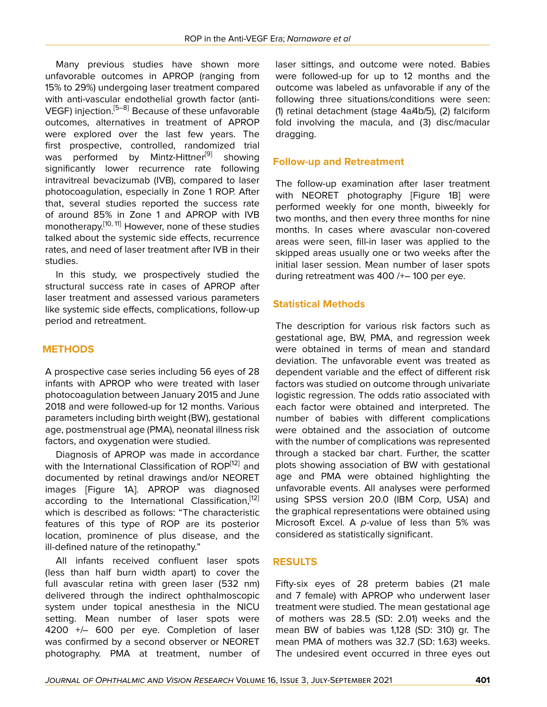Many previous studies have shown more unfavorable outcomes in APROP (ranging from 15% to 29%) undergoing laser treatment compared with anti-vascular endothelial growth factor (anti-VEGF) injection.[[5–](#page-5-2)[8\]](#page-5-3) Because of these unfavorable outcomes, alternatives in treatment of APROP were explored over the last few years. The first prospective, controlled, randomized trial was performed by Mintz-Hittner<sup>[\[9\]](#page-5-4)</sup> showing significantly lower recurrence rate following intravitreal bevacizumab (IVB), compared to laser photocoagulation, especially in Zone 1 ROP. After that, several studies reported the success rate of around 85% in Zone 1 and APROP with IVB monotherapy.<sup>[\[10,](#page-5-5) [11\]](#page-5-6)</sup> However, none of these studies talked about the systemic side effects, recurrence rates, and need of laser treatment after IVB in their studies.

In this study, we prospectively studied the structural success rate in cases of APROP after laser treatment and assessed various parameters like systemic side effects, complications, follow-up period and retreatment.

# **METHODS**

A prospective case series including 56 eyes of 28 infants with APROP who were treated with laser photocoagulation between January 2015 and June 2018 and were followed-up for 12 months. Various parameters including birth weight (BW), gestational age, postmenstrual age (PMA), neonatal illness risk factors, and oxygenation were studied.

Diagnosis of APROP was made in accordance with the International Classification of ROP<sup>[\[12](#page-5-7)]</sup> and documented by retinal drawings and/or NEORET images [Figure 1A]. APROP was diagnosed according to the International Classification,<sup>[\[12](#page-5-7)]</sup> which is described as follows: "The characteristic features of this type of ROP are its posterior location, prominence of plus disease, and the ill-defined nature of the retinopathy."

All infants received confluent laser spots (less than half burn width apart) to cover the full avascular retina with green laser (532 nm) delivered through the indirect ophthalmoscopic system under topical anesthesia in the NICU setting. Mean number of laser spots were 4200 +/– 600 per eye. Completion of laser was confirmed by a second observer or NEORET photography. PMA at treatment, number of laser sittings, and outcome were noted. Babies were followed-up for up to 12 months and the outcome was labeled as unfavorable if any of the following three situations/conditions were seen: (1) retinal detachment (stage 4a/4b/5), (2) falciform fold involving the macula, and (3) disc/macular dragging.

# **Follow-up and Retreatment**

The follow-up examination after laser treatment with NEORET photography [Figure 1B] were performed weekly for one month, biweekly for two months, and then every three months for nine months. In cases where avascular non-covered areas were seen, fill-in laser was applied to the skipped areas usually one or two weeks after the initial laser session. Mean number of laser spots during retreatment was 400 /+– 100 per eye.

# **Statistical Methods**

The description for various risk factors such as gestational age, BW, PMA, and regression week were obtained in terms of mean and standard deviation. The unfavorable event was treated as dependent variable and the effect of different risk factors was studied on outcome through univariate logistic regression. The odds ratio associated with each factor were obtained and interpreted. The number of babies with different complications were obtained and the association of outcome with the number of complications was represented through a stacked bar chart. Further, the scatter plots showing association of BW with gestational age and PMA were obtained highlighting the unfavorable events. All analyses were performed using SPSS version 20.0 (IBM Corp, USA) and the graphical representations were obtained using Microsoft Excel. A *p*-value of less than 5% was considered as statistically significant.

# **RESULTS**

Fifty-six eyes of 28 preterm babies (21 male and 7 female) with APROP who underwent laser treatment were studied. The mean gestational age of mothers was 28.5 (SD: 2.01) weeks and the mean BW of babies was 1,128 (SD: 310) gr. The mean PMA of mothers was 32.7 (SD: 1.63) weeks. The undesired event occurred in three eyes out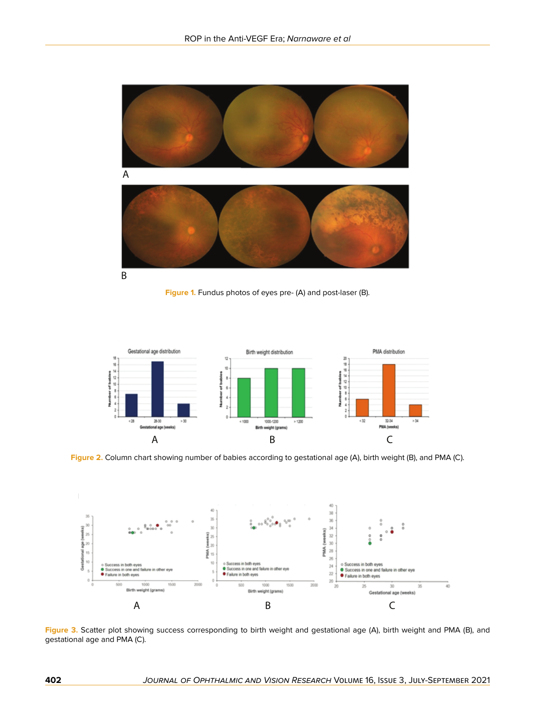

**Figure 1.** Fundus photos of eyes pre- (A) and post-laser (B).



**Figure 2.** Column chart showing number of babies according to gestational age (A), birth weight (B), and PMA (C).



**Figure 3.** Scatter plot showing success corresponding to birth weight and gestational age (A), birth weight and PMA (B), and gestational age and PMA (C).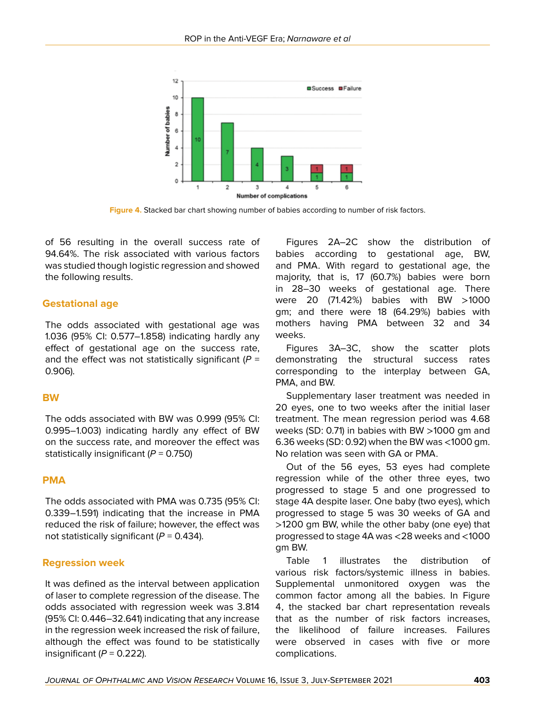

**Figure 4.** Stacked bar chart showing number of babies according to number of risk factors.

of 56 resulting in the overall success rate of 94.64%. The risk associated with various factors was studied though logistic regression and showed the following results.

## **Gestational age**

The odds associated with gestational age was 1.036 (95% CI: 0.577–1.858) indicating hardly any effect of gestational age on the success rate, and the effect was not statistically significant (*P* = 0.906).

## **BW**

The odds associated with BW was 0.999 (95% CI: 0.995–1.003) indicating hardly any effect of BW on the success rate, and moreover the effect was statistically insignificant (*P* = 0.750)

#### **PMA**

The odds associated with PMA was 0.735 (95% CI: 0.339–1.591) indicating that the increase in PMA reduced the risk of failure; however, the effect was not statistically significant (*P* = 0.434).

## **Regression week**

It was defined as the interval between application of laser to complete regression of the disease. The odds associated with regression week was 3.814 (95% CI: 0.446–32.641) indicating that any increase in the regression week increased the risk of failure, although the effect was found to be statistically insignificant  $(P = 0.222)$ .

Figures 2A–2C show the distribution of babies according to gestational age, BW, and PMA. With regard to gestational age, the majority, that is, 17 (60.7%) babies were born in 28–30 weeks of gestational age. There were 20 (71.42%) babies with BW >1000 gm; and there were 18 (64.29%) babies with mothers having PMA between 32 and 34 weeks.

Figures 3A–3C, show the scatter plots demonstrating the structural success rates corresponding to the interplay between GA, PMA, and BW.

Supplementary laser treatment was needed in 20 eyes, one to two weeks after the initial laser treatment. The mean regression period was 4.68 weeks (SD: 0.71) in babies with BW >1000 gm and 6.36 weeks (SD: 0.92) when the BW was <1000 gm. No relation was seen with GA or PMA.

Out of the 56 eyes, 53 eyes had complete regression while of the other three eyes, two progressed to stage 5 and one progressed to stage 4A despite laser. One baby (two eyes), which progressed to stage 5 was 30 weeks of GA and >1200 gm BW, while the other baby (one eye) that progressed to stage 4A was <28 weeks and <1000 gm BW.

Table 1 illustrates the distribution of various risk factors/systemic illness in babies. Supplemental unmonitored oxygen was the common factor among all the babies. In Figure 4, the stacked bar chart representation reveals that as the number of risk factors increases, the likelihood of failure increases. Failures were observed in cases with five or more complications.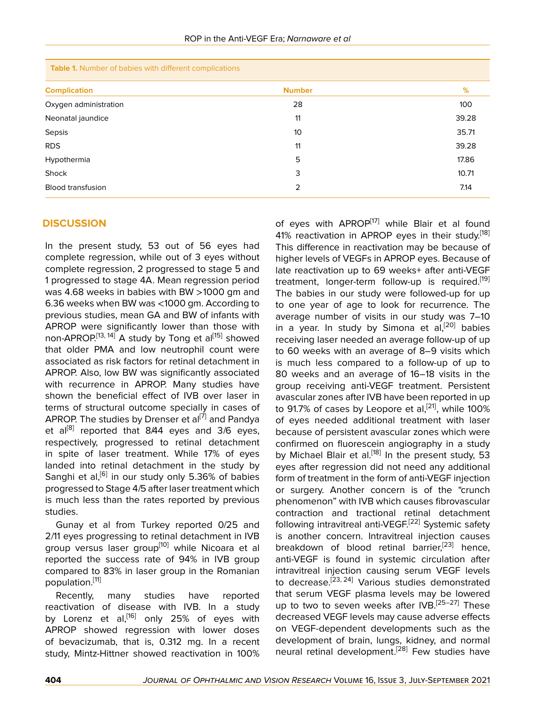| Table 1. Number of babies with different complications |               |       |
|--------------------------------------------------------|---------------|-------|
| <b>Complication</b>                                    | <b>Number</b> | %     |
| Oxygen administration                                  | 28            | 100   |
| Neonatal jaundice                                      | 11            | 39.28 |
| Sepsis                                                 | 10            | 35.71 |
| <b>RDS</b>                                             | 11            | 39.28 |
| Hypothermia                                            | 5             | 17.86 |
| Shock                                                  | 3             | 10.71 |
| <b>Blood transfusion</b>                               | 2             | 7.14  |

## **DISCUSSION**

In the present study, 53 out of 56 eyes had complete regression, while out of 3 eyes without complete regression, 2 progressed to stage 5 and 1 progressed to stage 4A. Mean regression period was 4.68 weeks in babies with BW >1000 gm and 6.36 weeks when BW was <1000 gm. According to previous studies, mean GA and BW of infants with APROP were significantly lower than those with non-APROP.<sup>[[13](#page-6-0), [14](#page-6-1)]</sup> A study by Tong et al<sup>[[15](#page-6-2)]</sup> showed that older PMA and low neutrophil count were associated as risk factors for retinal detachment in APROP. Also, low BW was significantly associated with recurrence in APROP. Many studies have shown the beneficial effect of IVB over laser in terms of structural outcome specially in cases of APROP. The studies by Drenser et al<sup>[\[7](#page-5-8)]</sup> and Pandya et al<sup>[[8](#page-5-3)]</sup> reported that 8/44 eyes and 3/6 eyes, respectively, progressed to retinal detachment in spite of laser treatment. While 17% of eyes landed into retinal detachment in the study by Sanghi et al,<sup>[[6](#page-5-9)]</sup> in our study only 5.36% of babies progressed to Stage 4/5 after laser treatment which is much less than the rates reported by previous studies.

Gunay et al from Turkey reported 0/25 and 2/11 eyes progressing to retinal detachment in IVB group versus laser group<sup>[[10](#page-5-5)]</sup> while Nicoara et al reported the success rate of 94% in IVB group compared to 83% in laser group in the Romanian population.<sup>[\[11](#page-5-6)]</sup>

Recently, many studies have reported reactivation of disease with IVB. In a study by Lorenz et al,<sup>[\[16\]](#page-6-3)</sup> only 25% of eyes with APROP showed regression with lower doses of bevacizumab, that is, 0.312 mg. In a recent study, Mintz-Hittner showed reactivation in 100%

of eyes with APROP<sup>[\[17\]](#page-6-4)</sup> while Blair et al found 41% reactivation in APROP eyes in their study.<sup>[\[18](#page-6-5)]</sup> This difference in reactivation may be because of higher levels of VEGFs in APROP eyes. Because of late reactivation up to 69 weeks+ after anti-VEGF treatment, longer-term follow-up is required.<sup>[\[19](#page-6-6)]</sup> The babies in our study were followed-up for up to one year of age to look for recurrence. The average number of visits in our study was 7–10 in a year. In study by Simona et  $aI<sub>1</sub><sup>[20]</sup>$  $aI<sub>1</sub><sup>[20]</sup>$  $aI<sub>1</sub><sup>[20]</sup>$  babies receiving laser needed an average follow-up of up to 60 weeks with an average of 8–9 visits which is much less compared to a follow-up of up to 80 weeks and an average of 16–18 visits in the group receiving anti-VEGF treatment. Persistent avascular zones after IVB have been reported in up to 91.7% of cases by Leopore et al, $^{[21]}$  $^{[21]}$  $^{[21]}$ , while 100% of eyes needed additional treatment with laser because of persistent avascular zones which were confirmed on fluorescein angiography in a study by Michael Blair et al.<sup>[[18\]](#page-6-5)</sup> In the present study, 53 eyes after regression did not need any additional form of treatment in the form of anti-VEGF injection or surgery. Another concern is of the "crunch phenomenon" with IVB which causes fibrovascular contraction and tractional retinal detachment following intravitreal anti-VEGF.<sup>[\[22](#page-6-9)]</sup> Systemic safety is another concern. Intravitreal injection causes breakdown of blood retinal barrier,<sup>[\[23\]](#page-6-10)</sup> hence, anti-VEGF is found in systemic circulation after intravitreal injection causing serum VEGF levels to decrease.<sup>[\[23,](#page-6-10) [24](#page-6-11)]</sup> Various studies demonstrated that serum VEGF plasma levels may be lowered up to two to seven weeks after IVB.<sup>[\[25](#page-6-12)–[27](#page-6-13)]</sup> These decreased VEGF levels may cause adverse effects on VEGF-dependent developments such as the development of brain, lungs, kidney, and normal neural retinal development.[\[28](#page-6-14)] Few studies have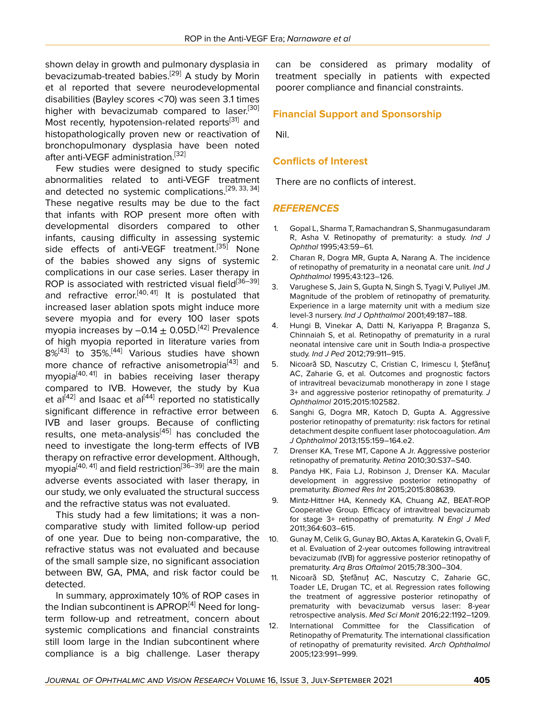shown delay in growth and pulmonary dysplasia in bevacizumab-treated babies.<sup>[[29\]](#page-6-15)</sup> A study by Morin et al reported that severe neurodevelopmental disabilities (Bayley scores <70) was seen 3.1 times higher with bevacizumab compared to laser.<sup>[\[30](#page-6-16)]</sup> Most recently, hypotension-related reports<sup>[[31\]](#page-6-17)</sup> and histopathologically proven new or reactivation of bronchopulmonary dysplasia have been noted after anti-VEGF administration.<sup>[\[32\]](#page-6-18)</sup>

Few studies were designed to study specific abnormalities related to anti-VEGF treatment and detected no systemic complications.<sup>[[29,](#page-6-15) [33](#page-6-19), [34](#page-6-20)]</sup> These negative results may be due to the fact that infants with ROP present more often with developmental disorders compared to other infants, causing difficulty in assessing systemic side effects of anti-VEGF treatment.<sup>[[35](#page-6-21)]</sup> None of the babies showed any signs of systemic complications in our case series. Laser therapy in ROP is associated with restricted visual field $[36-39]$  $[36-39]$  $[36-39]$ and refractive error.<sup>[\[40](#page-6-24), [41\]](#page-6-25)</sup> It is postulated that increased laser ablation spots might induce more severe myopia and for every 100 laser spots myopia increases by  $-0.14 \pm 0.05D^{[42]}$  $-0.14 \pm 0.05D^{[42]}$  $-0.14 \pm 0.05D^{[42]}$  Prevalence of high myopia reported in literature varies from 8%<sup>[[43](#page-7-1)]</sup> to 35%.<sup>[\[44\]](#page-7-2)</sup> Various studies have shown more chance of refractive anisometropia<sup>[\[43\]](#page-7-1)</sup> and myopia<sup>[\[40](#page-6-24), [41\]](#page-6-25)</sup> in babies receiving laser therapy compared to IVB. However, the study by Kua et al<sup>[[42\]](#page-7-0)</sup> and Isaac et al<sup>[[44](#page-7-2)]</sup> reported no statistically significant difference in refractive error between IVB and laser groups. Because of conflicting results, one meta-analysis $[45]$  $[45]$  has concluded the need to investigate the long-term effects of IVB therapy on refractive error development. Although, myopia<sup>[\[40](#page-6-24), [41\]](#page-6-25)</sup> and field restriction<sup>[[36](#page-6-22)–[39\]](#page-6-23)</sup> are the main adverse events associated with laser therapy, in our study, we only evaluated the structural success and the refractive status was not evaluated.

This study had a few limitations; it was a noncomparative study with limited follow-up period of one year. Due to being non-comparative, the refractive status was not evaluated and because of the small sample size, no significant association between BW, GA, PMA, and risk factor could be detected.

In summary, approximately 10% of ROP cases in the Indian subcontinent is  $APROP<sup>[4]</sup>$  $APROP<sup>[4]</sup>$  $APROP<sup>[4]</sup>$  Need for longterm follow-up and retreatment, concern about systemic complications and financial constraints still loom large in the Indian subcontinent where compliance is a big challenge. Laser therapy

can be considered as primary modality of treatment specially in patients with expected poorer compliance and financial constraints.

#### **Financial Support and Sponsorship**

Nil.

#### **Conflicts of Interest**

There are no conflicts of interest.

#### *REFERENCES*

- <span id="page-5-0"></span>1. Gopal L, Sharma T, Ramachandran S, Shanmugasundaram R, Asha V. Retinopathy of prematurity: a study. *Ind J Ophthal* 1995;43:59–61.
- 2. Charan R, Dogra MR, Gupta A, Narang A. The incidence of retinopathy of prematurity in a neonatal care unit. *Ind J Ophthalmol* 1995;43:123–126.
- 3. Varughese S, Jain S, Gupta N, Singh S, Tyagi V, Puliyel JM. Magnitude of the problem of retinopathy of prematurity. Experience in a large maternity unit with a medium size level-3 nursery. *Ind J Ophthalmol* 2001;49:187–188.
- <span id="page-5-1"></span>4. Hungi B, Vinekar A, Datti N, Kariyappa P, Braganza S, Chinnaiah S, et al. Retinopathy of prematurity in a rural neonatal intensive care unit in South India-a prospective study. *Ind J Ped* 2012;79:911–915.
- <span id="page-5-2"></span>5. Nicoară SD, Nascutzy C, Cristian C, Irimescu I, Ștefănuț AC, Zaharie G, et al. Outcomes and prognostic factors of intravitreal bevacizumab monotherapy in zone I stage 3+ and aggressive posterior retinopathy of prematurity. *J Ophthalmol* 2015;2015:102582.
- <span id="page-5-9"></span>6. Sanghi G, Dogra MR, Katoch D, Gupta A. Aggressive posterior retinopathy of prematurity: risk factors for retinal detachment despite confluent laser photocoagulation. *Am J Ophthalmol* 2013;155:159–164.e2.
- <span id="page-5-8"></span>7. Drenser KA, Trese MT, Capone A Jr. Aggressive posterior retinopathy of prematurity. *Retina* 2010;30:S37–S40.
- <span id="page-5-3"></span>8. Pandya HK, Faia LJ, Robinson J, Drenser KA. Macular development in aggressive posterior retinopathy of prematurity. *Biomed Res Int* 2015;2015:808639.
- <span id="page-5-4"></span>9. Mintz-Hittner HA, Kennedy KA, Chuang AZ, BEAT-ROP Cooperative Group. Efficacy of intravitreal bevacizumab for stage 3+ retinopathy of prematurity. *N Engl J Med* 2011;364:603–615.
- <span id="page-5-5"></span>10. Gunay M, Celik G, Gunay BO, Aktas A, Karatekin G, Ovali F, et al. Evaluation of 2-year outcomes following intravitreal bevacizumab (IVB) for aggressive posterior retinopathy of prematurity. *Arq Bras Oftalmol* 2015;78:300–304.
- <span id="page-5-6"></span>11. Nicoară SD, Ştefănuţ AC, Nascutzy C, Zaharie GC, Toader LE, Drugan TC, et al. Regression rates following the treatment of aggressive posterior retinopathy of prematurity with bevacizumab versus laser: 8-year retrospective analysis. *Med Sci Monit* 2016;22:1192–1209.
- <span id="page-5-7"></span>12. International Committee for the Classification of Retinopathy of Prematurity. The international classification of retinopathy of prematurity revisited. *Arch Ophthalmol* 2005;123:991–999.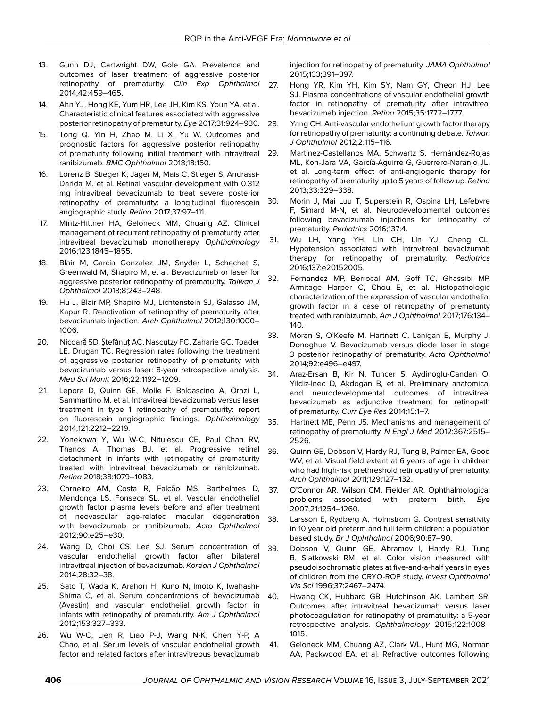- <span id="page-6-0"></span>13. Gunn DJ, Cartwright DW, Gole GA. Prevalence and outcomes of laser treatment of aggressive posterior retinopathy of prematurity. *Clin Exp Ophthalmol* 2014;42:459–465.
- <span id="page-6-1"></span>14. Ahn YJ, Hong KE, Yum HR, Lee JH, Kim KS, Youn YA, et al. Characteristic clinical features associated with aggressive posterior retinopathy of prematurity. *Eye* 2017;31:924–930.
- <span id="page-6-2"></span>15. Tong Q, Yin H, Zhao M, Li X, Yu W. Outcomes and prognostic factors for aggressive posterior retinopathy of prematurity following initial treatment with intravitreal ranibizumab. *BMC Ophthalmol* 2018;18:150.
- <span id="page-6-3"></span>16. Lorenz B, Stieger K, Jäger M, Mais C, Stieger S, Andrassi-Darida M, et al. Retinal vascular development with 0.312 mg intravitreal bevacizumab to treat severe posterior retinopathy of prematurity: a longitudinal fluorescein 30. angiographic study. *Retina* 2017;37:97–111.
- <span id="page-6-4"></span>17. Mintz-Hittner HA, Geloneck MM, Chuang AZ. Clinical management of recurrent retinopathy of prematurity after intravitreal bevacizumab monotherapy. *Ophthalmology* 2016;123:1845–1855.
- <span id="page-6-5"></span>18. Blair M, Garcia Gonzalez JM, Snyder L, Schechet S, Greenwald M, Shapiro M, et al. Bevacizumab or laser for aggressive posterior retinopathy of prematurity. *Taiwan J Ophthalmol* 2018;8;243–248.
- <span id="page-6-6"></span>19. Hu J, Blair MP, Shapiro MJ, Lichtenstein SJ, Galasso JM, Kapur R. Reactivation of retinopathy of prematurity after bevacizumab injection. *Arch Ophthalmol* 2012;130:1000– 1006.
- <span id="page-6-7"></span>20. Nicoară SD, Ştefănuţ AC, Nascutzy FC, Zaharie GC, Toader LE, Drugan TC. Regression rates following the treatment of aggressive posterior retinopathy of prematurity with bevacizumab versus laser: 8-year retrospective analysis. *Med Sci Monit* 2016;22:1192–1209.
- <span id="page-6-8"></span>21. Lepore D, Quinn GE, Molle F, Baldascino A, Orazi L, Sammartino M, et al. Intravitreal bevacizumab versus laser treatment in type 1 retinopathy of prematurity: report on fluorescein angiographic findings. *Ophthalmology* 2014;121:2212–2219.
- <span id="page-6-9"></span>22. Yonekawa Y, Wu W-C, Nitulescu CE, Paul Chan RV, Thanos A, Thomas BJ, et al. Progressive retinal 36. detachment in infants with retinopathy of prematurity treated with intravitreal bevacizumab or ranibizumab. *Retina* 2018;38:1079–1083.
- <span id="page-6-10"></span>23. Carneiro AM, Costa R, Falcão MS, Barthelmes D, Mendonça LS, Fonseca SL, et al. Vascular endothelial growth factor plasma levels before and after treatment of neovascular age-related macular degeneration with bevacizumab or ranibizumab. *Acta Ophthalmol* 2012;90:e25–e30.
- <span id="page-6-11"></span>24. Wang D, Choi CS, Lee SJ. Serum concentration of vascular endothelial growth factor after bilateral intravitreal injection of bevacizumab. *Korean J Ophthalmol* 2014;28:32–38.
- <span id="page-6-12"></span>25. Sato T, Wada K, Arahori H, Kuno N, Imoto K, Iwahashi-Shima C, et al. Serum concentrations of bevacizumab 40. (Avastin) and vascular endothelial growth factor in infants with retinopathy of prematurity. *Am J Ophthalmol* 2012;153:327–333.
- 26. Wu W-C, Lien R, Liao P-J, Wang N-K, Chen Y-P, A Chao, et al. Serum levels of vascular endothelial growth factor and related factors after intravitreous bevacizumab

injection for retinopathy of prematurity. *JAMA Ophthalmol* 2015;133;391–397.

- <span id="page-6-14"></span><span id="page-6-13"></span>27. Hong YR, Kim YH, Kim SY, Nam GY, Cheon HJ, Lee SJ. Plasma concentrations of vascular endothelial growth factor in retinopathy of prematurity after intravitreal bevacizumab injection. *Retina* 2015;35:1772–1777.
	- Yang CH. Anti-vascular endothelium growth factor therapy for retinopathy of prematurity: a continuing debate. *Taiwan J Ophthalmol* 2012;2:115–116.
	- Martínez-Castellanos MA, Schwartz S, Hernández-Rojas ML, Kon-Jara VA, García-Aguirre G, Guerrero-Naranjo JL, et al. Long-term effect of anti-angiogenic therapy for retinopathy of prematurity up to 5 years of follow up. *Retina* 2013;33:329–338.
- <span id="page-6-16"></span><span id="page-6-15"></span>Morin J, Mai Luu T, Superstein R, Ospina LH, Lefebvre F, Simard M-N, et al. Neurodevelopmental outcomes following bevacizumab injections for retinopathy of prematurity. *Pediatrics* 2016;137:4.
- <span id="page-6-17"></span>31. Wu LH, Yang YH, Lin CH, Lin YJ, Cheng CL. Hypotension associated with intravitreal bevacizumab therapy for retinopathy of prematurity. *Pediatrics* 2016;137:e20152005.
- <span id="page-6-18"></span>32. Fernandez MP, Berrocal AM, Goff TC, Ghassibi MP, Armitage Harper C, Chou E, et al. Histopathologic characterization of the expression of vascular endothelial growth factor in a case of retinopathy of prematurity treated with ranibizumab. *Am J Ophthalmol* 2017;176:134– 140.
- <span id="page-6-20"></span><span id="page-6-19"></span>33. Moran S, O'Keefe M, Hartnett C, Lanigan B, Murphy J, Donoghue V. Bevacizumab versus diode laser in stage 3 posterior retinopathy of prematurity. *Acta Ophthalmol* 2014;92:e496–e497.
	- Araz-Ersan B, Kir N, Tuncer S, Aydinoglu-Candan O, Yildiz-Inec D, Akdogan B, et al. Preliminary anatomical and neurodevelopmental outcomes of intravitreal bevacizumab as adjunctive treatment for retinopath of prematurity. *Curr Eye Res* 2014;15:1–7.
- <span id="page-6-22"></span><span id="page-6-21"></span>35. Hartnett ME, Penn JS. Mechanisms and management of retinopathy of prematurity. *N Engl J Med* 2012;367:2515– 2526.
	- Quinn GE, Dobson V, Hardy RJ, Tung B, Palmer EA, Good WV, et al. Visual field extent at 6 years of age in children who had high-risk prethreshold retinopathy of prematurity. *Arch Ophthalmol* 2011;129:127–132.
- 37. O'Connor AR, Wilson CM, Fielder AR. Ophthalmological problems associated with preterm birth. *Eye* 2007;21:1254–1260.
- 38. Larsson E, Rydberg A, Holmstrom G. Contrast sensitivity in 10 year old preterm and full term children: a population based study. *Br J Ophthalmol* 2006;90:87–90.
- <span id="page-6-23"></span>39. Dobson V, Quinn GE, Abramov I, Hardy RJ, Tung B, Siatkowski RM, et al. Color vision measured with pseudoisochromatic plates at five-and-a-half years in eyes of children from the CRYO-ROP study. *Invest Ophthalmol Vis Sci* 1996;37:2467–2474.
- <span id="page-6-24"></span>Hwang CK, Hubbard GB, Hutchinson AK, Lambert SR. Outcomes after intravitreal bevacizumab versus laser photocoagulation for retinopathy of prematurity: a 5-year retrospective analysis. *Ophthalmology* 2015;122:1008– 1015.
- <span id="page-6-25"></span>41. Geloneck MM, Chuang AZ, Clark WL, Hunt MG, Norman AA, Packwood EA, et al. Refractive outcomes following